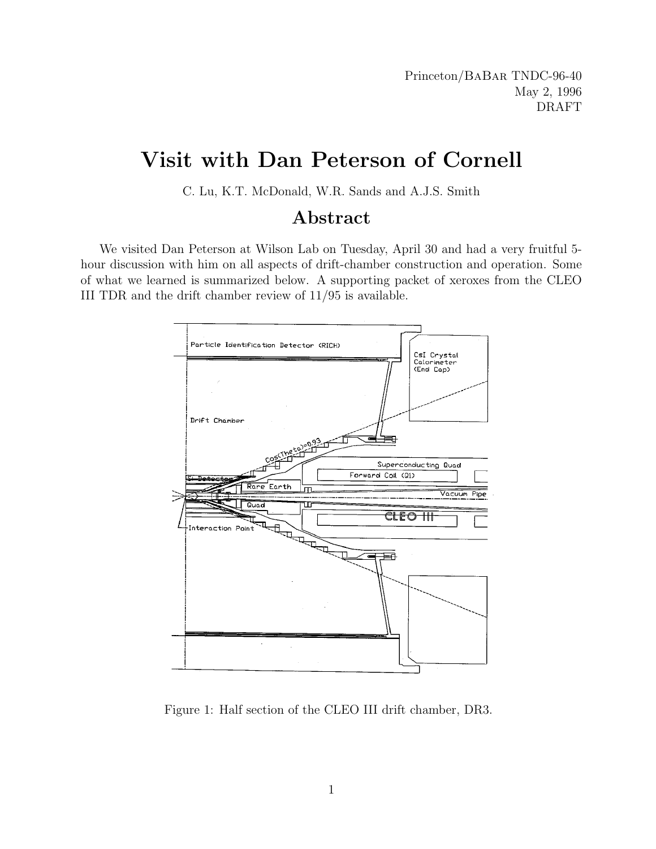Princeton/BaBar TNDC-96-40 May 2, 1996 DRAFT

# Visit with Dan Peterson of Cornell

C. Lu, K.T. McDonald, W.R. Sands and A.J.S. Smith

#### Abstract

We visited Dan Peterson at Wilson Lab on Tuesday, April 30 and had a very fruitful 5 hour discussion with him on all aspects of drift-chamber construction and operation. Some of what we learned is summarized below. A supporting packet of xeroxes from the CLEO III TDR and the drift chamber review of 11/95 is available.



Figure 1: Half section of the CLEO III drift chamber, DR3.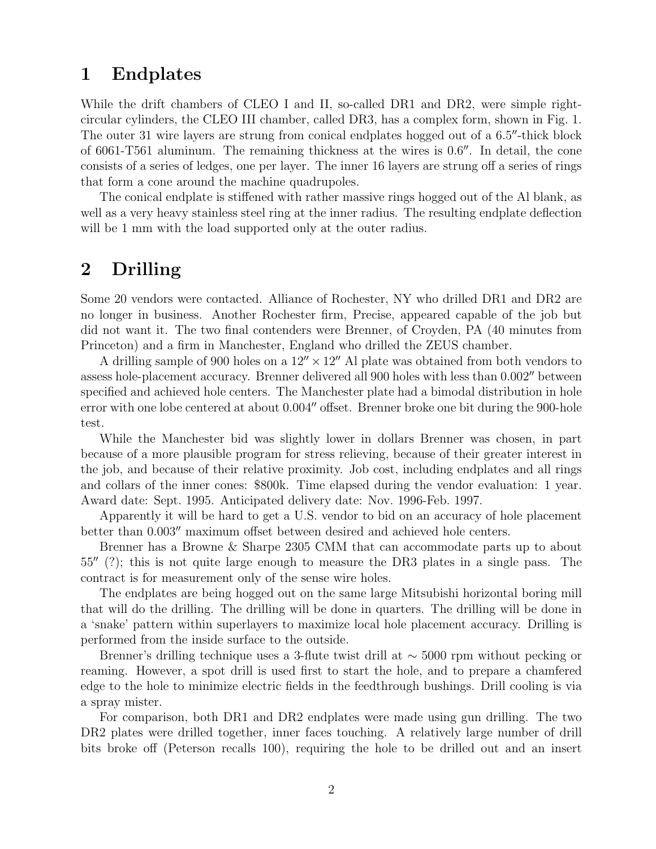# 1 Endplates

While the drift chambers of CLEO I and II, so-called DR1 and DR2, were simple rightcircular cylinders, the CLEO III chamber, called DR3, has a complex form, shown in Fig. 1. The outer 31 wire layers are strung from conical endplates hogged out of a  $6.5''$ -thick block of 6061-T561 aluminum. The remaining thickness at the wires is  $0.6$ . In detail, the cone consists of a series of ledges, one per layer. The inner 16 layers are strung off a series of rings that form a cone around the machine quadrupoles.

The conical endplate is stiffened with rather massive rings hogged out of the Al blank, as well as a very heavy stainless steel ring at the inner radius. The resulting endplate deflection will be 1 mm with the load supported only at the outer radius.

# 2 Drilling

Some 20 vendors were contacted. Alliance of Rochester, NY who drilled DR1 and DR2 are no longer in business. Another Rochester firm, Precise, appeared capable of the job but did not want it. The two final contenders were Brenner, of Croyden, PA (40 minutes from Princeton) and a firm in Manchester, England who drilled the ZEUS chamber.

A drilling sample of 900 holes on a  $12'' \times 12''$  Al plate was obtained from both vendors to assess hole-placement accuracy. Brenner delivered all 900 holes with less than 0.002" between specified and achieved hole centers. The Manchester plate had a bimodal distribution in hole error with one lobe centered at about  $0.004''$  offset. Brenner broke one bit during the 900-hole test.

While the Manchester bid was slightly lower in dollars Brenner was chosen, in part because of a more plausible program for stress relieving, because of their greater interest in the job, and because of their relative proximity. Job cost, including endplates and all rings and collars of the inner cones: \$800k. Time elapsed during the vendor evaluation: 1 year. Award date: Sept. 1995. Anticipated delivery date: Nov. 1996-Feb. 1997.

Apparently it will be hard to get a U.S. vendor to bid on an accuracy of hole placement better than  $0.003''$  maximum offset between desired and achieved hole centers.

Brenner has a Browne & Sharpe 2305 CMM that can accommodate parts up to about  $55<sup>0</sup>$  (?); this is not quite large enough to measure the DR3 plates in a single pass. The contract is for measurement only of the sense wire holes.

The endplates are being hogged out on the same large Mitsubishi horizontal boring mill that will do the drilling. The drilling will be done in quarters. The drilling will be done in a 'snake' pattern within superlayers to maximize local hole placement accuracy. Drilling is performed from the inside surface to the outside.

Brenner's drilling technique uses a 3-flute twist drill at ∼ 5000 rpm without pecking or reaming. However, a spot drill is used first to start the hole, and to prepare a chamfered edge to the hole to minimize electric fields in the feedthrough bushings. Drill cooling is via a spray mister.

For comparison, both DR1 and DR2 endplates were made using gun drilling. The two DR2 plates were drilled together, inner faces touching. A relatively large number of drill bits broke off (Peterson recalls 100), requiring the hole to be drilled out and an insert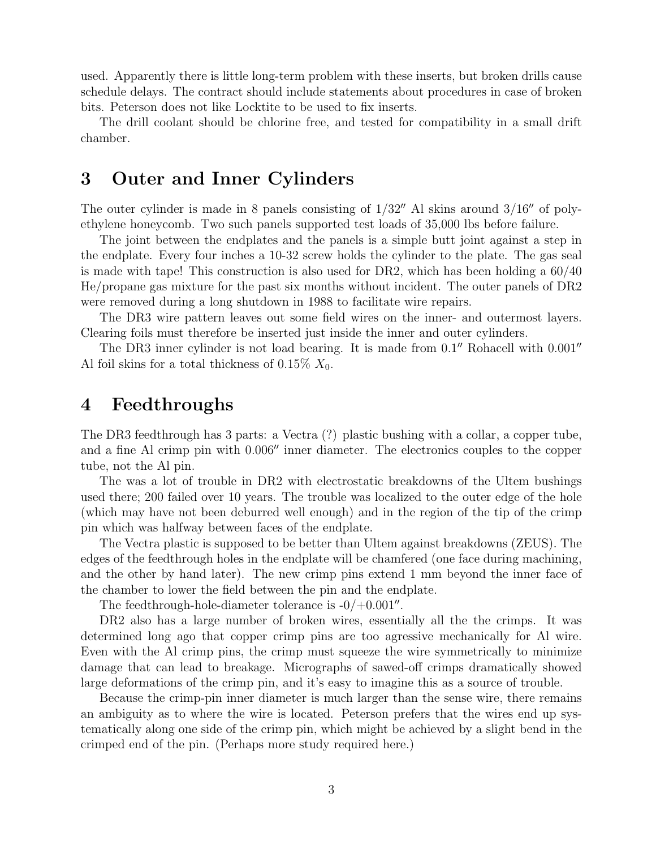used. Apparently there is little long-term problem with these inserts, but broken drills cause schedule delays. The contract should include statements about procedures in case of broken bits. Peterson does not like Locktite to be used to fix inserts.

The drill coolant should be chlorine free, and tested for compatibility in a small drift chamber.

#### 3 Outer and Inner Cylinders

The outer cylinder is made in 8 panels consisting of  $1/32$ <sup>n</sup> Al skins around  $3/16$ <sup>n</sup> of polyethylene honeycomb. Two such panels supported test loads of 35,000 lbs before failure.

The joint between the endplates and the panels is a simple butt joint against a step in the endplate. Every four inches a 10-32 screw holds the cylinder to the plate. The gas seal is made with tape! This construction is also used for DR2, which has been holding a 60/40 He/propane gas mixture for the past six months without incident. The outer panels of DR2 were removed during a long shutdown in 1988 to facilitate wire repairs.

The DR3 wire pattern leaves out some field wires on the inner- and outermost layers. Clearing foils must therefore be inserted just inside the inner and outer cylinders.

The DR3 inner cylinder is not load bearing. It is made from  $0.1$ <sup>"</sup> Rohacell with  $0.001$ " Al foil skins for a total thickness of 0.15%  $X_0$ .

#### 4 Feedthroughs

The DR3 feedthrough has 3 parts: a Vectra (?) plastic bushing with a collar, a copper tube, and a fine Al crimp pin with  $0.006$ " inner diameter. The electronics couples to the copper tube, not the Al pin.

The was a lot of trouble in DR2 with electrostatic breakdowns of the Ultem bushings used there; 200 failed over 10 years. The trouble was localized to the outer edge of the hole (which may have not been deburred well enough) and in the region of the tip of the crimp pin which was halfway between faces of the endplate.

The Vectra plastic is supposed to be better than Ultem against breakdowns (ZEUS). The edges of the feedthrough holes in the endplate will be chamfered (one face during machining, and the other by hand later). The new crimp pins extend 1 mm beyond the inner face of the chamber to lower the field between the pin and the endplate.

The feedthrough-hole-diameter tolerance is  $-0/+0.001''$ .

DR2 also has a large number of broken wires, essentially all the the crimps. It was determined long ago that copper crimp pins are too agressive mechanically for Al wire. Even with the Al crimp pins, the crimp must squeeze the wire symmetrically to minimize damage that can lead to breakage. Micrographs of sawed-off crimps dramatically showed large deformations of the crimp pin, and it's easy to imagine this as a source of trouble.

Because the crimp-pin inner diameter is much larger than the sense wire, there remains an ambiguity as to where the wire is located. Peterson prefers that the wires end up systematically along one side of the crimp pin, which might be achieved by a slight bend in the crimped end of the pin. (Perhaps more study required here.)